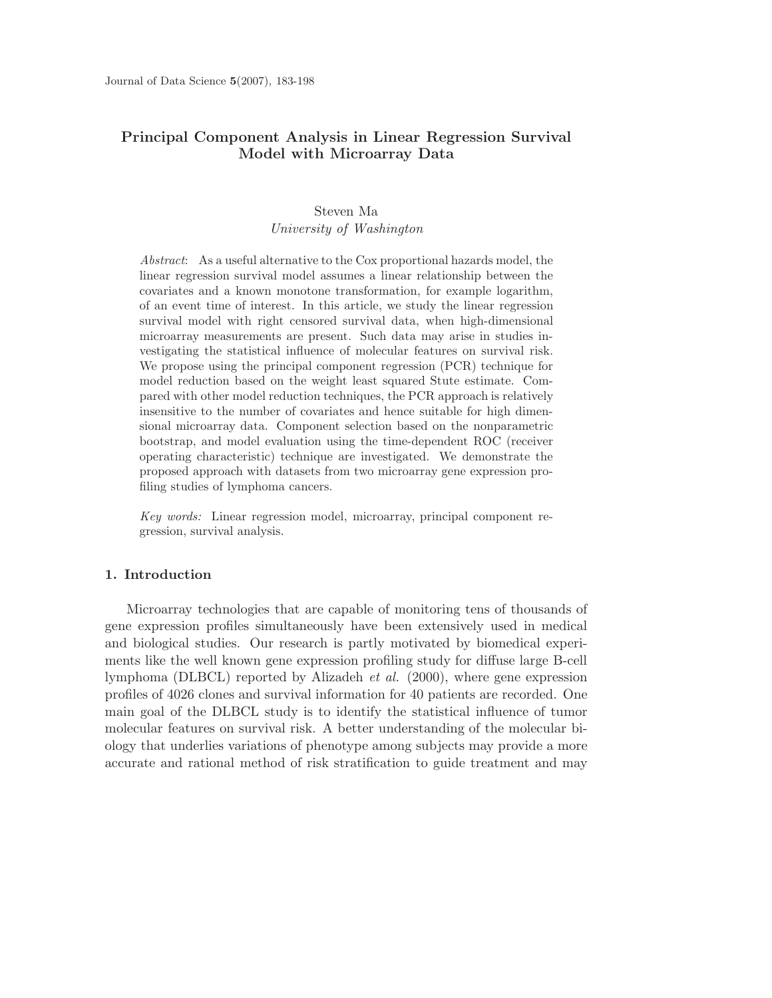# **Principal Component Analysis in Linear Regression Survival Model with Microarray Data**

## Steven Ma *University of Washington*

*Abstract*: As a useful alternative to the Cox proportional hazards model, the linear regression survival model assumes a linear relationship between the covariates and a known monotone transformation, for example logarithm, of an event time of interest. In this article, we study the linear regression survival model with right censored survival data, when high-dimensional microarray measurements are present. Such data may arise in studies investigating the statistical influence of molecular features on survival risk. We propose using the principal component regression (PCR) technique for model reduction based on the weight least squared Stute estimate. Compared with other model reduction techniques, the PCR approach is relatively insensitive to the number of covariates and hence suitable for high dimensional microarray data. Component selection based on the nonparametric bootstrap, and model evaluation using the time-dependent ROC (receiver operating characteristic) technique are investigated. We demonstrate the proposed approach with datasets from two microarray gene expression profiling studies of lymphoma cancers.

*Key words:* Linear regression model, microarray, principal component regression, survival analysis.

## **1. Introduction**

Microarray technologies that are capable of monitoring tens of thousands of gene expression profiles simultaneously have been extensively used in medical and biological studies. Our research is partly motivated by biomedical experiments like the well known gene expression profiling study for diffuse large B-cell lymphoma (DLBCL) reported by Alizadeh *et al.* (2000), where gene expression profiles of 4026 clones and survival information for 40 patients are recorded. One main goal of the DLBCL study is to identify the statistical influence of tumor molecular features on survival risk. A better understanding of the molecular biology that underlies variations of phenotype among subjects may provide a more accurate and rational method of risk stratification to guide treatment and may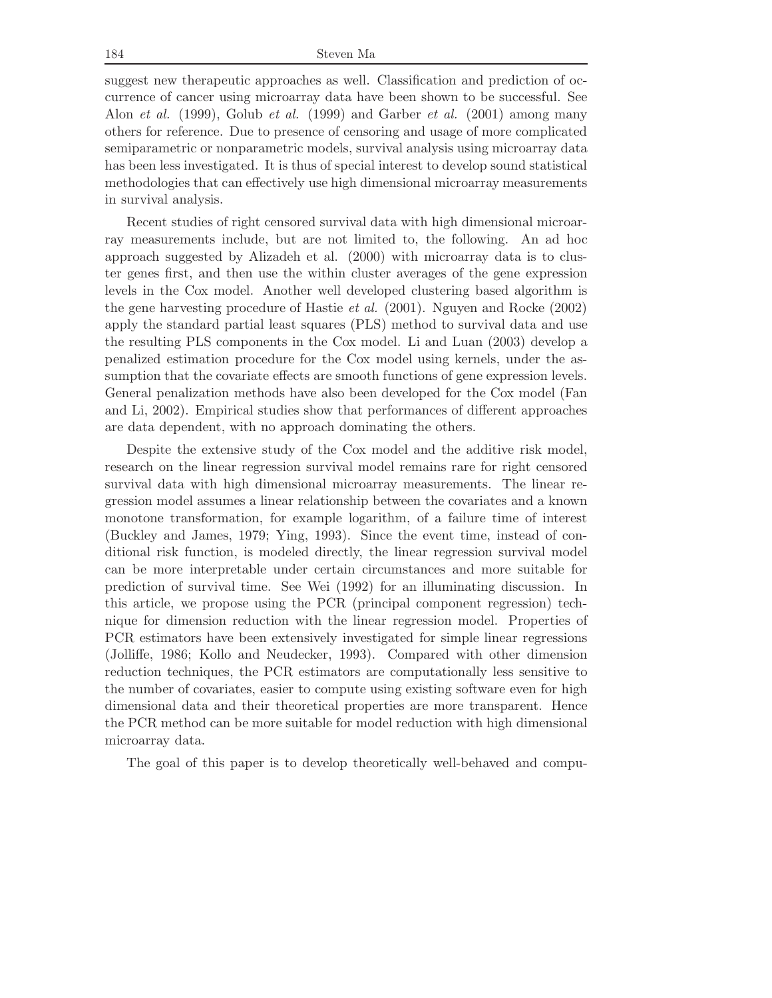suggest new therapeutic approaches as well. Classification and prediction of occurrence of cancer using microarray data have been shown to be successful. See Alon *et al.* (1999), Golub *et al.* (1999) and Garber *et al.* (2001) among many others for reference. Due to presence of censoring and usage of more complicated semiparametric or nonparametric models, survival analysis using microarray data has been less investigated. It is thus of special interest to develop sound statistical methodologies that can effectively use high dimensional microarray measurements in survival analysis.

Recent studies of right censored survival data with high dimensional microarray measurements include, but are not limited to, the following. An ad hoc approach suggested by Alizadeh et al. (2000) with microarray data is to cluster genes first, and then use the within cluster averages of the gene expression levels in the Cox model. Another well developed clustering based algorithm is the gene harvesting procedure of Hastie *et al.* (2001). Nguyen and Rocke (2002) apply the standard partial least squares (PLS) method to survival data and use the resulting PLS components in the Cox model. Li and Luan (2003) develop a penalized estimation procedure for the Cox model using kernels, under the assumption that the covariate effects are smooth functions of gene expression levels. General penalization methods have also been developed for the Cox model (Fan and Li, 2002). Empirical studies show that performances of different approaches are data dependent, with no approach dominating the others.

Despite the extensive study of the Cox model and the additive risk model, research on the linear regression survival model remains rare for right censored survival data with high dimensional microarray measurements. The linear regression model assumes a linear relationship between the covariates and a known monotone transformation, for example logarithm, of a failure time of interest (Buckley and James, 1979; Ying, 1993). Since the event time, instead of conditional risk function, is modeled directly, the linear regression survival model can be more interpretable under certain circumstances and more suitable for prediction of survival time. See Wei (1992) for an illuminating discussion. In this article, we propose using the PCR (principal component regression) technique for dimension reduction with the linear regression model. Properties of PCR estimators have been extensively investigated for simple linear regressions (Jolliffe, 1986; Kollo and Neudecker, 1993). Compared with other dimension reduction techniques, the PCR estimators are computationally less sensitive to the number of covariates, easier to compute using existing software even for high dimensional data and their theoretical properties are more transparent. Hence the PCR method can be more suitable for model reduction with high dimensional microarray data.

The goal of this paper is to develop theoretically well-behaved and compu-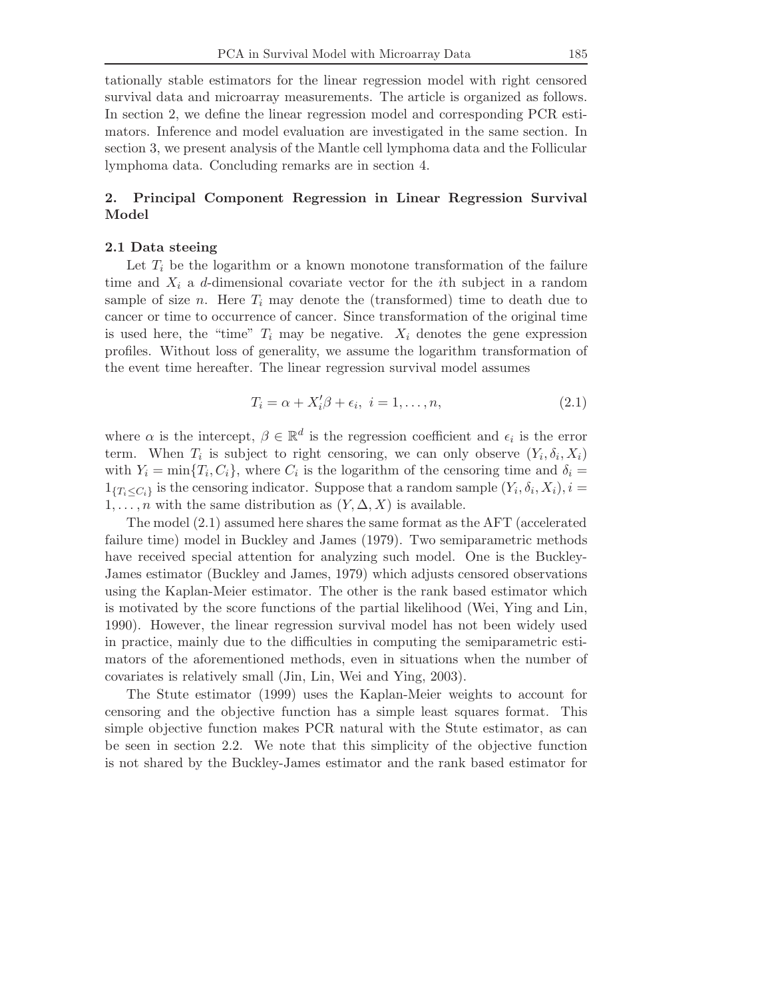tationally stable estimators for the linear regression model with right censored survival data and microarray measurements. The article is organized as follows. In section 2, we define the linear regression model and corresponding PCR estimators. Inference and model evaluation are investigated in the same section. In section 3, we present analysis of the Mantle cell lymphoma data and the Follicular lymphoma data. Concluding remarks are in section 4.

## **2. Principal Component Regression in Linear Regression Survival Model**

### **2.1 Data steeing**

Let  $T_i$  be the logarithm or a known monotone transformation of the failure time and  $X_i$  a d-dimensional covariate vector for the *i*th subject in a random sample of size n. Here  $T_i$  may denote the (transformed) time to death due to cancer or time to occurrence of cancer. Since transformation of the original time is used here, the "time"  $T_i$  may be negative.  $X_i$  denotes the gene expression profiles. Without loss of generality, we assume the logarithm transformation of the event time hereafter. The linear regression survival model assumes

$$
T_i = \alpha + X_i' \beta + \epsilon_i, \ i = 1, \dots, n,
$$
\n
$$
(2.1)
$$

where  $\alpha$  is the intercept,  $\beta \in \mathbb{R}^d$  is the regression coefficient and  $\epsilon_i$  is the error term. When  $T_i$  is subject to right censoring, we can only observe  $(Y_i, \delta_i, X_i)$ with  $Y_i = \min\{T_i, C_i\}$ , where  $C_i$  is the logarithm of the censoring time and  $\delta_i =$  $1_{\{T_i < C_i\}}$  is the censoring indicator. Suppose that a random sample  $(Y_i, \delta_i, X_i)$ ,  $i =$  $1, \ldots, n$  with the same distribution as  $(Y, \Delta, X)$  is available.

The model (2.1) assumed here shares the same format as the AFT (accelerated failure time) model in Buckley and James (1979). Two semiparametric methods have received special attention for analyzing such model. One is the Buckley-James estimator (Buckley and James, 1979) which adjusts censored observations using the Kaplan-Meier estimator. The other is the rank based estimator which is motivated by the score functions of the partial likelihood (Wei, Ying and Lin, 1990). However, the linear regression survival model has not been widely used in practice, mainly due to the difficulties in computing the semiparametric estimators of the aforementioned methods, even in situations when the number of covariates is relatively small (Jin, Lin, Wei and Ying, 2003).

The Stute estimator (1999) uses the Kaplan-Meier weights to account for censoring and the objective function has a simple least squares format. This simple objective function makes PCR natural with the Stute estimator, as can be seen in section 2.2. We note that this simplicity of the objective function is not shared by the Buckley-James estimator and the rank based estimator for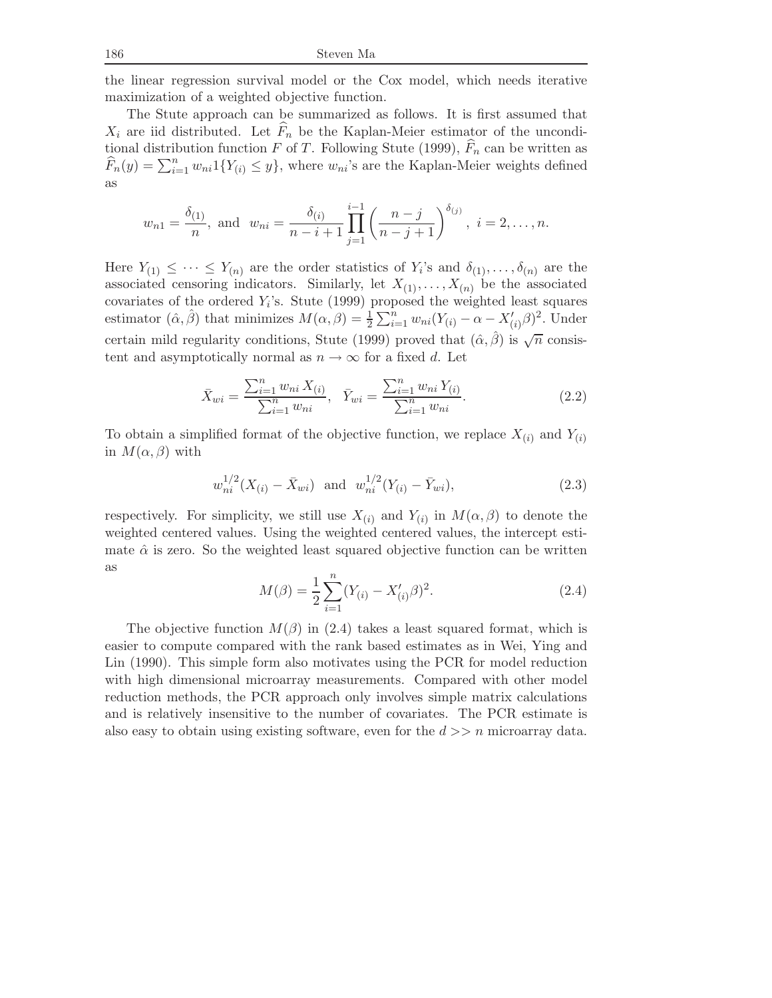the linear regression survival model or the Cox model, which needs iterative maximization of a weighted objective function.

The Stute approach can be summarized as follows. It is first assumed that  $X_i$  are iid distributed. Let  $F_n$  be the Kaplan-Meier estimator of the unconditional distribution function F of T. Following Stute (1999),  $\ddot{F}_n$  can be written as  $\widehat{F}_n(y) = \sum_{i=1}^n w_{ni} 1\{Y_{(i)} \leq y\}$ , where  $w_{ni}$ 's are the Kaplan-Meier weights defined as

$$
w_{n1} = \frac{\delta_{(1)}}{n}
$$
, and  $w_{ni} = \frac{\delta_{(i)}}{n-i+1} \prod_{j=1}^{i-1} \left( \frac{n-j}{n-j+1} \right)^{\delta_{(j)}}$ ,  $i = 2, ..., n$ .

Here  $Y_{(1)} \leq \cdots \leq Y_{(n)}$  are the order statistics of  $Y_i$ 's and  $\delta_{(1)}, \ldots, \delta_{(n)}$  are the associated censoring indicators. Similarly, let  $X_{(1)},\ldots,X_{(n)}$  be the associated covariates of the ordered  $Y_i$ 's. Stute (1999) proposed the weighted least squares estimator  $(\hat{\alpha}, \hat{\beta})$  that minimizes  $M(\alpha, \beta) = \frac{1}{2} \sum_{i=1}^{n} w_{ni}(Y_{(i)} - \alpha - X'_{(i)}\beta)^2$ . Under certain mild regularity conditions, Stute (1999) proved that  $(\hat{\alpha}, \hat{\beta})$  is  $\sqrt{n}$  consistent and asymptotically normal as  $n \to \infty$  for a fixed d. Let

$$
\bar{X}_{wi} = \frac{\sum_{i=1}^{n} w_{ni} X_{(i)}}{\sum_{i=1}^{n} w_{ni}}, \quad \bar{Y}_{wi} = \frac{\sum_{i=1}^{n} w_{ni} Y_{(i)}}{\sum_{i=1}^{n} w_{ni}}.
$$
\n(2.2)

To obtain a simplified format of the objective function, we replace  $X_{(i)}$  and  $Y_{(i)}$ in  $M(\alpha, \beta)$  with

$$
w_{ni}^{1/2}(X_{(i)} - \bar{X}_{wi}) \text{ and } w_{ni}^{1/2}(Y_{(i)} - \bar{Y}_{wi}), \qquad (2.3)
$$

respectively. For simplicity, we still use  $X_{(i)}$  and  $Y_{(i)}$  in  $M(\alpha, \beta)$  to denote the weighted centered values. Using the weighted centered values, the intercept estimate  $\hat{\alpha}$  is zero. So the weighted least squared objective function can be written as

$$
M(\beta) = \frac{1}{2} \sum_{i=1}^{n} (Y_{(i)} - X'_{(i)}\beta)^2.
$$
 (2.4)

The objective function  $M(\beta)$  in (2.4) takes a least squared format, which is easier to compute compared with the rank based estimates as in Wei, Ying and Lin (1990). This simple form also motivates using the PCR for model reduction with high dimensional microarray measurements. Compared with other model reduction methods, the PCR approach only involves simple matrix calculations and is relatively insensitive to the number of covariates. The PCR estimate is also easy to obtain using existing software, even for the  $d \gg \infty$  microarray data.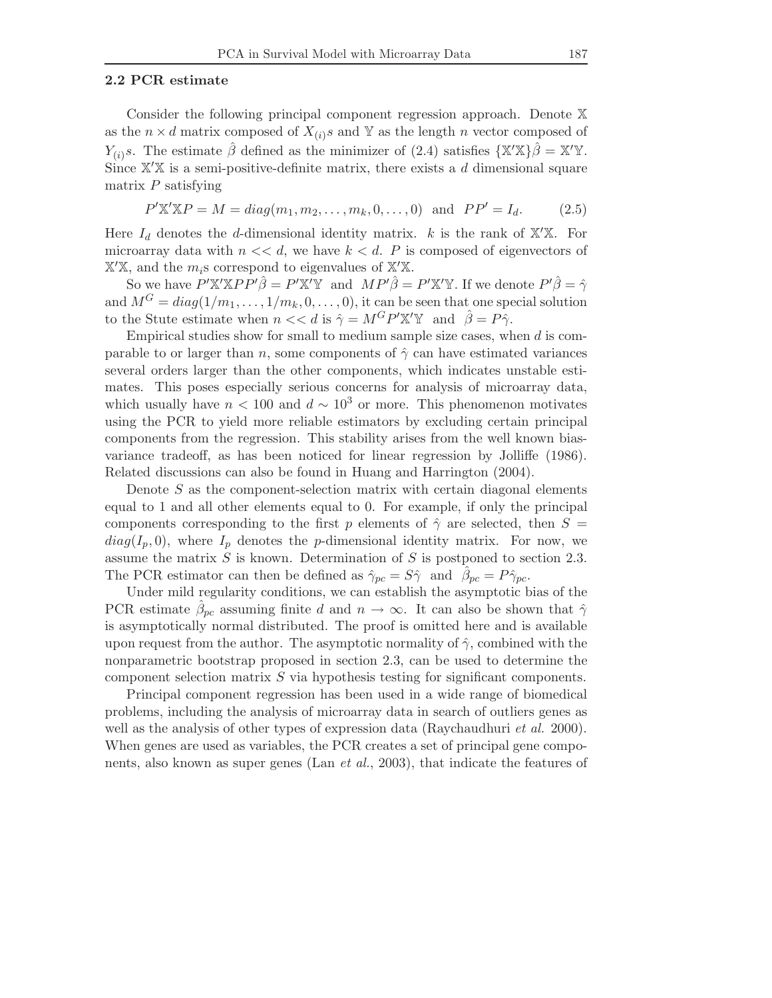### **2.2 PCR estimate**

Consider the following principal component regression approach. Denote X as the  $n \times d$  matrix composed of  $X_{(i)}s$  and Y as the length n vector composed of  $Y_{(i)}s$ . The estimate  $\hat{\beta}$  defined as the minimizer of (2.4) satisfies  $\{X'X\}\hat{\beta} = X'Y$ . Since  $X'X$  is a semi-positive-definite matrix, there exists a d dimensional square matrix  $P$  satisfying

$$
P'X'XP = M = diag(m_1, m_2, ..., m_k, 0, ..., 0)
$$
 and  $PP' = I_d.$  (2.5)

Here  $I_d$  denotes the d-dimensional identity matrix. k is the rank of  $X'X$ . For microarray data with  $n \ll d$ , we have  $k \ll d$ . P is composed of eigenvectors of  $X'X$ , and the  $m_i$ s correspond to eigenvalues of  $X'X$ .

So we have  $P'X'XPP'\hat{\beta} = P'X'Y$  and  $MP'\hat{\beta} = P'X'Y$ . If we denote  $P'\hat{\beta} = \hat{\gamma}$ and  $M^G = diag(1/m_1, \ldots, 1/m_k, 0, \ldots, 0)$ , it can be seen that one special solution to the Stute estimate when  $n \ll d$  is  $\hat{\gamma} = M^G P' \mathbb{X}' \mathbb{Y}$  and  $\hat{\beta} = P \hat{\gamma}$ .

Empirical studies show for small to medium sample size cases, when  $d$  is comparable to or larger than n, some components of  $\hat{\gamma}$  can have estimated variances several orders larger than the other components, which indicates unstable estimates. This poses especially serious concerns for analysis of microarray data, which usually have  $n < 100$  and  $d \sim 10^3$  or more. This phenomenon motivates using the PCR to yield more reliable estimators by excluding certain principal components from the regression. This stability arises from the well known biasvariance tradeoff, as has been noticed for linear regression by Jolliffe (1986). Related discussions can also be found in Huang and Harrington (2004).

Denote  $S$  as the component-selection matrix with certain diagonal elements equal to 1 and all other elements equal to 0. For example, if only the principal components corresponding to the first p elements of  $\hat{\gamma}$  are selected, then  $S =$  $diag(I_p, 0)$ , where  $I_p$  denotes the p-dimensional identity matrix. For now, we assume the matrix  $S$  is known. Determination of  $S$  is postponed to section 2.3. The PCR estimator can then be defined as  $\hat{\gamma}_{pc} = S\hat{\gamma}$  and  $\hat{\beta}_{pc} = P\hat{\gamma}_{pc}$ .

Under mild regularity conditions, we can establish the asymptotic bias of the PCR estimate  $\beta_{pc}$  assuming finite d and  $n \to \infty$ . It can also be shown that  $\hat{\gamma}$ is asymptotically normal distributed. The proof is omitted here and is available upon request from the author. The asymptotic normality of  $\hat{\gamma}$ , combined with the nonparametric bootstrap proposed in section 2.3, can be used to determine the component selection matrix S via hypothesis testing for significant components.

Principal component regression has been used in a wide range of biomedical problems, including the analysis of microarray data in search of outliers genes as well as the analysis of other types of expression data (Raychaudhuri *et al.* 2000). When genes are used as variables, the PCR creates a set of principal gene components, also known as super genes (Lan *et al.*, 2003), that indicate the features of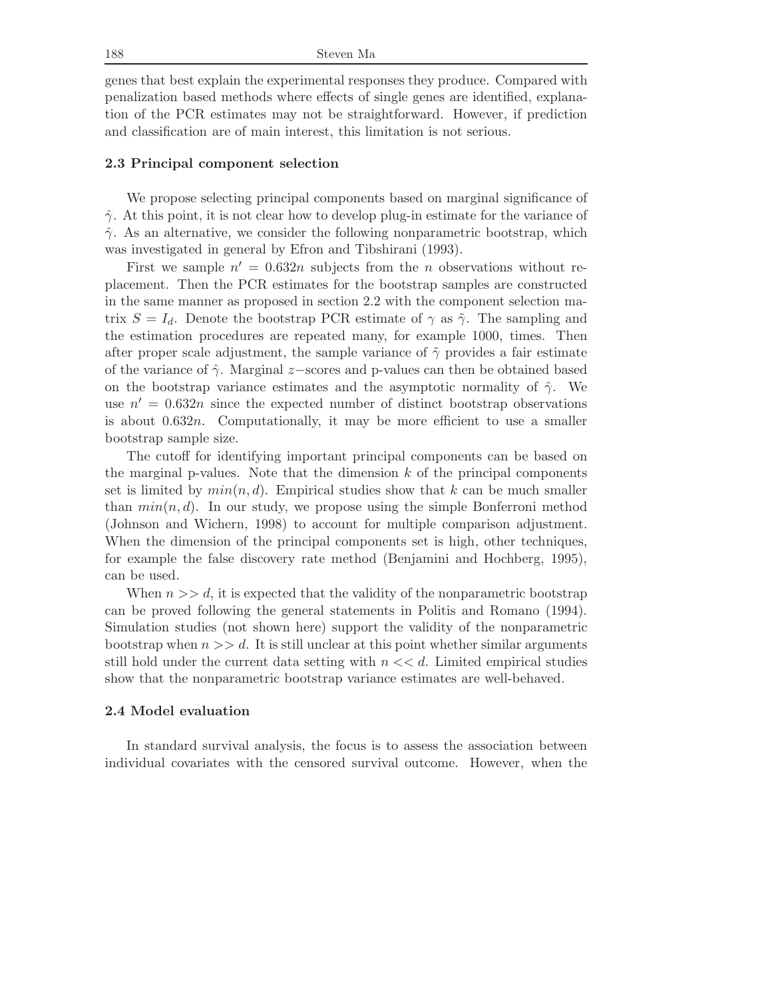genes that best explain the experimental responses they produce. Compared with penalization based methods where effects of single genes are identified, explanation of the PCR estimates may not be straightforward. However, if prediction and classification are of main interest, this limitation is not serious.

#### **2.3 Principal component selection**

We propose selecting principal components based on marginal significance of  $\hat{\gamma}$ . At this point, it is not clear how to develop plug-in estimate for the variance of  $\hat{\gamma}$ . As an alternative, we consider the following nonparametric bootstrap, which was investigated in general by Efron and Tibshirani (1993).

First we sample  $n' = 0.632n$  subjects from the n observations without replacement. Then the PCR estimates for the bootstrap samples are constructed in the same manner as proposed in section 2.2 with the component selection matrix  $S = I_d$ . Denote the bootstrap PCR estimate of  $\gamma$  as  $\tilde{\gamma}$ . The sampling and the estimation procedures are repeated many, for example 1000, times. Then after proper scale adjustment, the sample variance of  $\tilde{\gamma}$  provides a fair estimate of the variance of  $\hat{\gamma}$ . Marginal z–scores and p-values can then be obtained based on the bootstrap variance estimates and the asymptotic normality of  $\hat{\gamma}$ . We use  $n' = 0.632n$  since the expected number of distinct bootstrap observations is about  $0.632n$ . Computationally, it may be more efficient to use a smaller bootstrap sample size.

The cutoff for identifying important principal components can be based on the marginal p-values. Note that the dimension  $k$  of the principal components set is limited by  $min(n, d)$ . Empirical studies show that k can be much smaller than  $min(n, d)$ . In our study, we propose using the simple Bonferroni method (Johnson and Wichern, 1998) to account for multiple comparison adjustment. When the dimension of the principal components set is high, other techniques, for example the false discovery rate method (Benjamini and Hochberg, 1995), can be used.

When  $n >> d$ , it is expected that the validity of the nonparametric bootstrap can be proved following the general statements in Politis and Romano (1994). Simulation studies (not shown here) support the validity of the nonparametric bootstrap when  $n \gg d$ . It is still unclear at this point whether similar arguments still hold under the current data setting with  $n \ll d$ . Limited empirical studies show that the nonparametric bootstrap variance estimates are well-behaved.

#### **2.4 Model evaluation**

In standard survival analysis, the focus is to assess the association between individual covariates with the censored survival outcome. However, when the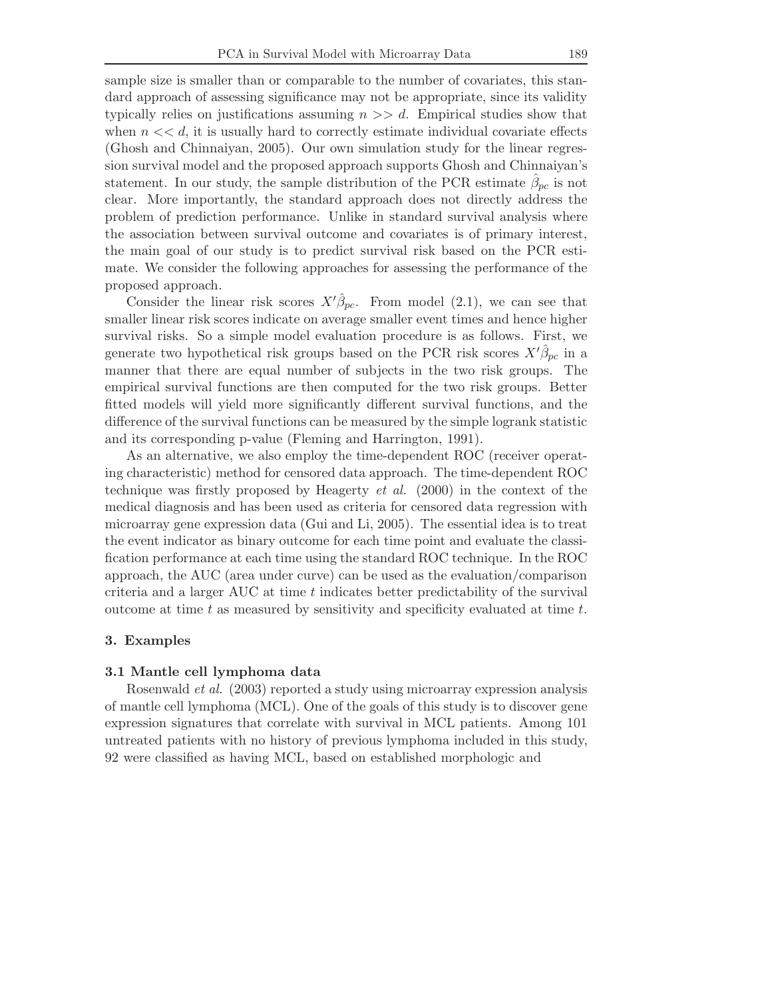sample size is smaller than or comparable to the number of covariates, this standard approach of assessing significance may not be appropriate, since its validity typically relies on justifications assuming  $n \geq d$ . Empirical studies show that when  $n \ll d$ , it is usually hard to correctly estimate individual covariate effects (Ghosh and Chinnaiyan, 2005). Our own simulation study for the linear regression survival model and the proposed approach supports Ghosh and Chinnaiyan's statement. In our study, the sample distribution of the PCR estimate  $\hat{\beta}_{pc}$  is not clear. More importantly, the standard approach does not directly address the problem of prediction performance. Unlike in standard survival analysis where the association between survival outcome and covariates is of primary interest, the main goal of our study is to predict survival risk based on the PCR estimate. We consider the following approaches for assessing the performance of the proposed approach.

Consider the linear risk scores  $X'\hat{\beta}_{pc}$ . From model (2.1), we can see that smaller linear risk scores indicate on average smaller event times and hence higher survival risks. So a simple model evaluation procedure is as follows. First, we generate two hypothetical risk groups based on the PCR risk scores  $X'\hat{\beta}_{pc}$  in a manner that there are equal number of subjects in the two risk groups. The empirical survival functions are then computed for the two risk groups. Better fitted models will yield more significantly different survival functions, and the difference of the survival functions can be measured by the simple logrank statistic and its corresponding p-value (Fleming and Harrington, 1991).

As an alternative, we also employ the time-dependent ROC (receiver operating characteristic) method for censored data approach. The time-dependent ROC technique was firstly proposed by Heagerty *et al.* (2000) in the context of the medical diagnosis and has been used as criteria for censored data regression with microarray gene expression data (Gui and Li, 2005). The essential idea is to treat the event indicator as binary outcome for each time point and evaluate the classification performance at each time using the standard ROC technique. In the ROC approach, the AUC (area under curve) can be used as the evaluation/comparison criteria and a larger AUC at time  $t$  indicates better predictability of the survival outcome at time  $t$  as measured by sensitivity and specificity evaluated at time  $t$ .

#### **3. Examples**

## **3.1 Mantle cell lymphoma data**

Rosenwald *et al.* (2003) reported a study using microarray expression analysis of mantle cell lymphoma (MCL). One of the goals of this study is to discover gene expression signatures that correlate with survival in MCL patients. Among 101 untreated patients with no history of previous lymphoma included in this study, 92 were classified as having MCL, based on established morphologic and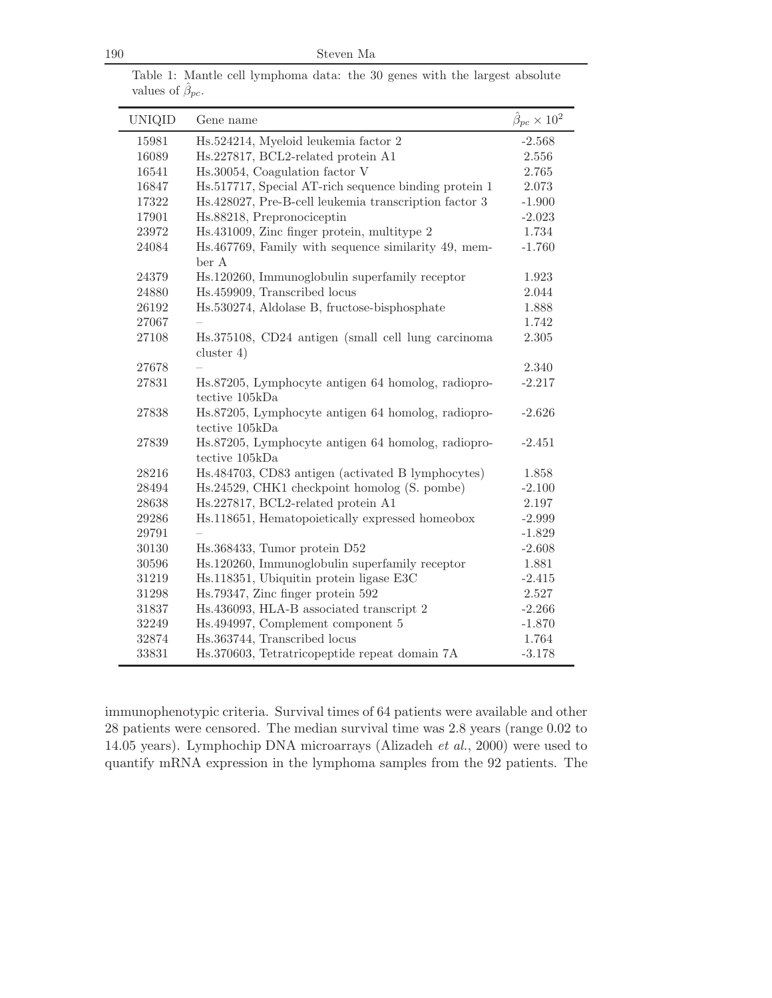| <b>UNIQID</b> | Gene name                                                            | $\beta_{pc} \times 10^2$ |
|---------------|----------------------------------------------------------------------|--------------------------|
| 15981         | Hs.524214, Myeloid leukemia factor 2                                 | $-2.568$                 |
| 16089         | Hs.227817, BCL2-related protein A1                                   | 2.556                    |
| 16541         | Hs.30054, Coagulation factor V                                       | 2.765                    |
| 16847         | Hs.517717, Special AT-rich sequence binding protein 1                | 2.073                    |
| 17322         | Hs.428027, Pre-B-cell leukemia transcription factor 3                | $-1.900$                 |
| 17901         | Hs.88218, Prepronociceptin                                           | $-2.023$                 |
| 23972         | Hs.431009, Zinc finger protein, multitype 2                          | 1.734                    |
| 24084         | Hs.467769, Family with sequence similarity 49, mem-<br>ber A         | $-1.760$                 |
| 24379         | Hs.120260, Immunoglobulin superfamily receptor                       | 1.923                    |
| 24880         | Hs.459909, Transcribed locus                                         | 2.044                    |
| 26192         | Hs.530274, Aldolase B, fructose-bisphosphate                         | 1.888                    |
| 27067         |                                                                      | 1.742                    |
| 27108         | Hs.375108, CD24 antigen (small cell lung carcinoma<br>cluster $4)$   | 2.305                    |
| 27678         |                                                                      | 2.340                    |
| 27831         | Hs.87205, Lymphocyte antigen 64 homolog, radiopro-<br>tective 105kDa | $-2.217$                 |
| 27838         | Hs.87205, Lymphocyte antigen 64 homolog, radiopro-<br>tective 105kDa | $-2.626$                 |
| 27839         | Hs.87205, Lymphocyte antigen 64 homolog, radiopro-<br>tective 105kDa | $-2.451$                 |
| 28216         | Hs.484703, CD83 antigen (activated B lymphocytes)                    | 1.858                    |
| 28494         | Hs.24529, CHK1 checkpoint homolog (S. pombe)                         | $-2.100$                 |
| 28638         | Hs.227817, BCL2-related protein A1                                   | 2.197                    |
| 29286         | Hs.118651, Hematopoietically expressed homeobox                      | $-2.999$                 |
| 29791         |                                                                      | $-1.829$                 |
| 30130         | Hs.368433, Tumor protein D52                                         | $-2.608$                 |
| 30596         | Hs.120260, Immunoglobulin superfamily receptor                       | 1.881                    |
| 31219         | Hs.118351, Ubiquitin protein ligase E3C                              | $-2.415$                 |
| 31298         | Hs.79347, Zinc finger protein 592                                    | 2.527                    |
| 31837         | Hs.436093, HLA-B associated transcript 2                             | $-2.266$                 |
| 32249         | Hs.494997, Complement component 5                                    | $-1.870$                 |
| 32874         | Hs.363744, Transcribed locus                                         | 1.764                    |
| 33831         | Hs.370603, Tetratricopeptide repeat domain 7A                        | $-3.178$                 |

Table 1: Mantle cell lymphoma data: the 30 genes with the largest absolute values of  $\hat{\beta}_{pc}$ .

immunophenotypic criteria. Survival times of 64 patients were available and other 28 patients were censored. The median survival time was 2.8 years (range 0.02 to 14.05 years). Lymphochip DNA microarrays (Alizadeh *et al.*, 2000) were used to quantify mRNA expression in the lymphoma samples from the 92 patients. The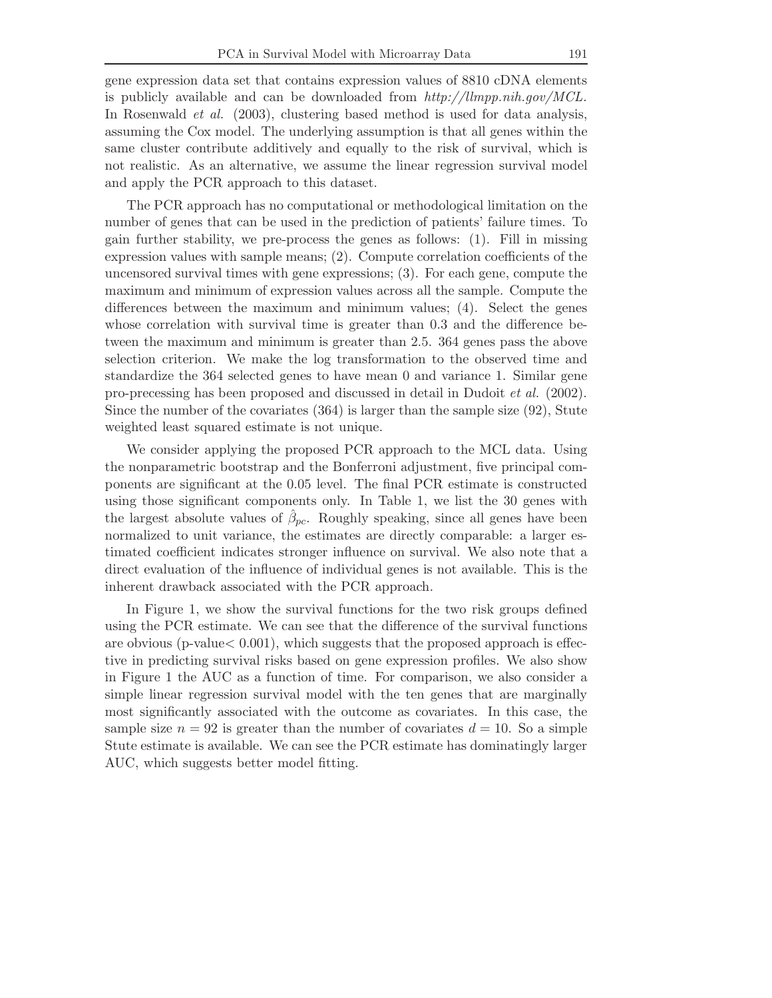gene expression data set that contains expression values of 8810 cDNA elements is publicly available and can be downloaded from *http://llmpp.nih.gov/MCL.* In Rosenwald *et al.* (2003), clustering based method is used for data analysis, assuming the Cox model. The underlying assumption is that all genes within the same cluster contribute additively and equally to the risk of survival, which is not realistic. As an alternative, we assume the linear regression survival model and apply the PCR approach to this dataset.

The PCR approach has no computational or methodological limitation on the number of genes that can be used in the prediction of patients' failure times. To gain further stability, we pre-process the genes as follows: (1). Fill in missing expression values with sample means; (2). Compute correlation coefficients of the uncensored survival times with gene expressions; (3). For each gene, compute the maximum and minimum of expression values across all the sample. Compute the differences between the maximum and minimum values; (4). Select the genes whose correlation with survival time is greater than 0.3 and the difference between the maximum and minimum is greater than 2.5. 364 genes pass the above selection criterion. We make the log transformation to the observed time and standardize the 364 selected genes to have mean 0 and variance 1. Similar gene pro-precessing has been proposed and discussed in detail in Dudoit *et al.* (2002). Since the number of the covariates (364) is larger than the sample size (92), Stute weighted least squared estimate is not unique.

We consider applying the proposed PCR approach to the MCL data. Using the nonparametric bootstrap and the Bonferroni adjustment, five principal components are significant at the 0.05 level. The final PCR estimate is constructed using those significant components only. In Table 1, we list the 30 genes with the largest absolute values of  $\hat{\beta}_{pc}$ . Roughly speaking, since all genes have been normalized to unit variance, the estimates are directly comparable: a larger estimated coefficient indicates stronger influence on survival. We also note that a direct evaluation of the influence of individual genes is not available. This is the inherent drawback associated with the PCR approach.

In Figure 1, we show the survival functions for the two risk groups defined using the PCR estimate. We can see that the difference of the survival functions are obvious ( $p$ -value $\lt 0.001$ ), which suggests that the proposed approach is effective in predicting survival risks based on gene expression profiles. We also show in Figure 1 the AUC as a function of time. For comparison, we also consider a simple linear regression survival model with the ten genes that are marginally most significantly associated with the outcome as covariates. In this case, the sample size  $n = 92$  is greater than the number of covariates  $d = 10$ . So a simple Stute estimate is available. We can see the PCR estimate has dominatingly larger AUC, which suggests better model fitting.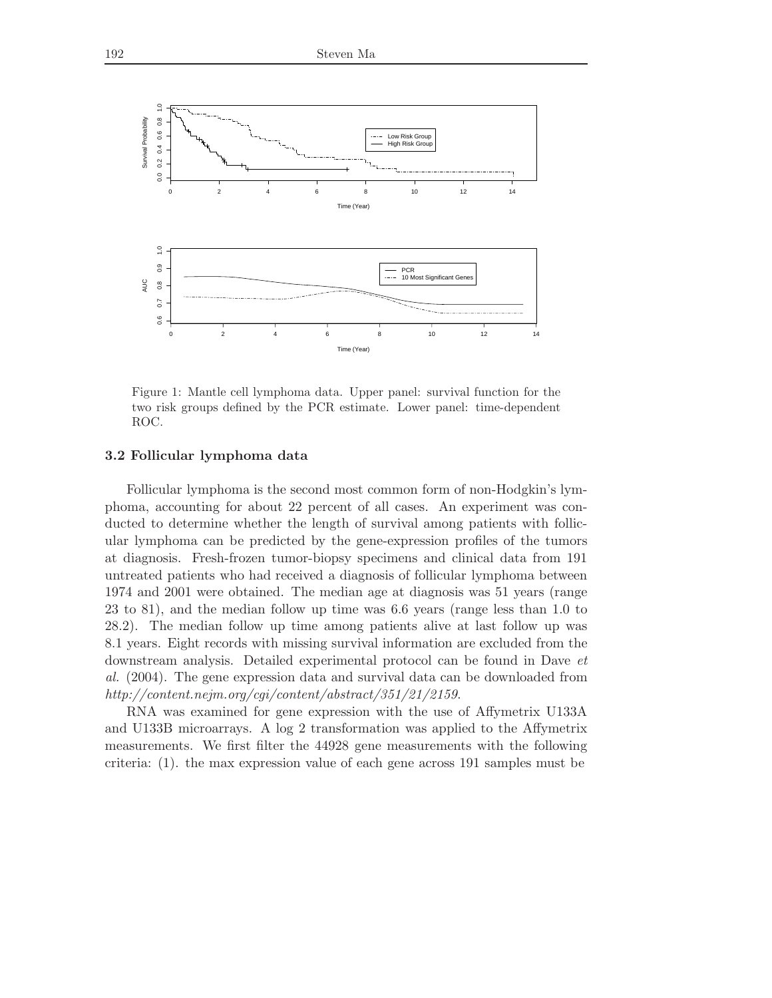

Figure 1: Mantle cell lymphoma data. Upper panel: survival function for the two risk groups defined by the PCR estimate. Lower panel: time-dependent ROC.

## **3.2 Follicular lymphoma data**

Follicular lymphoma is the second most common form of non-Hodgkin's lymphoma, accounting for about 22 percent of all cases. An experiment was conducted to determine whether the length of survival among patients with follicular lymphoma can be predicted by the gene-expression profiles of the tumors at diagnosis. Fresh-frozen tumor-biopsy specimens and clinical data from 191 untreated patients who had received a diagnosis of follicular lymphoma between 1974 and 2001 were obtained. The median age at diagnosis was 51 years (range 23 to 81), and the median follow up time was 6.6 years (range less than 1.0 to 28.2). The median follow up time among patients alive at last follow up was 8.1 years. Eight records with missing survival information are excluded from the downstream analysis. Detailed experimental protocol can be found in Dave *et al.* (2004). The gene expression data and survival data can be downloaded from *http://content.nejm.org/cgi/content/abstract/351/21/2159*.

RNA was examined for gene expression with the use of Affymetrix U133A and U133B microarrays. A log 2 transformation was applied to the Affymetrix measurements. We first filter the 44928 gene measurements with the following criteria: (1). the max expression value of each gene across 191 samples must be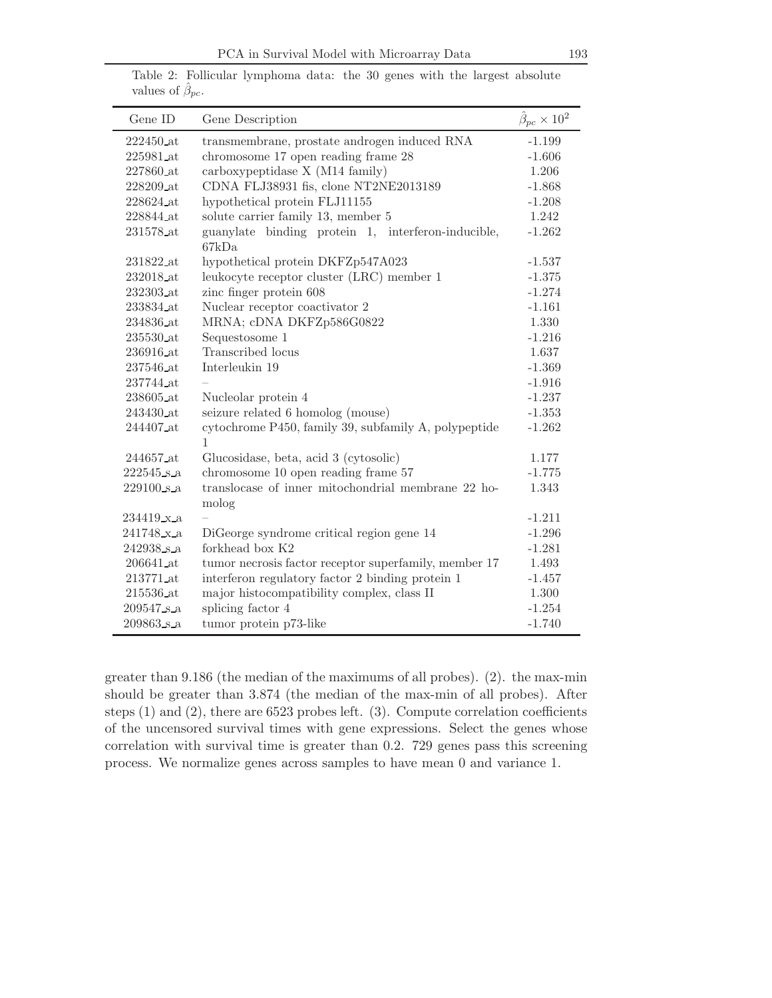| Gene ID                    | Gene Description                                            | $\hat{\beta}_{pc} \times 10^2$ |
|----------------------------|-------------------------------------------------------------|--------------------------------|
| 222450_at                  | transmembrane, prostate androgen induced RNA                | $-1.199$                       |
| 225981_at                  | chromosome 17 open reading frame 28                         | $-1.606$                       |
| 227860_at                  | carboxypeptidase X (M14 family)                             | 1.206                          |
| 228209_at                  | CDNA FLJ38931 fis, clone NT2NE2013189                       | $-1.868$                       |
| 228624_at                  | hypothetical protein FLJ11155                               | $-1.208$                       |
| 228844_at                  | solute carrier family 13, member 5                          | 1.242                          |
| 231578_at                  | guanylate binding protein 1, interferon-inducible,<br>67kDa | $-1.262$                       |
| 231822_at                  | hypothetical protein DKFZp547A023                           | $-1.537$                       |
| 232018_at                  | leukocyte receptor cluster (LRC) member 1                   | $-1.375$                       |
| 232303_at                  | zinc finger protein 608                                     | $-1.274$                       |
| 233834_at                  | Nuclear receptor coactivator 2                              | $-1.161$                       |
| $234836\ _{\small \rm at}$ | MRNA; cDNA DKFZp586G0822                                    | 1.330                          |
| 235530_at                  | Sequestosome 1                                              | $-1.216$                       |
| 236916_at                  | Transcribed locus                                           | 1.637                          |
| 237546_at                  | Interleukin 19                                              | $-1.369$                       |
| 237744_at                  |                                                             | $-1.916$                       |
| 238605_at                  | Nucleolar protein 4                                         | $-1.237$                       |
| $243430\ldots$             | seizure related 6 homolog (mouse)                           | $-1.353$                       |
| 244407_at                  | cytochrome P450, family 39, subfamily A, polypeptide<br>1   | $-1.262$                       |
| 244657_at                  | Glucosidase, beta, acid 3 (cytosolic)                       | 1.177                          |
| $222545$ s a               | chromosome 10 open reading frame 57                         | $-1.775$                       |
| $229100$ s a               | translocase of inner mitochondrial membrane 22 ho-<br>molog | 1.343                          |
| $234419$ x a               |                                                             | $-1.211$                       |
| 241748 x a                 | DiGeorge syndrome critical region gene 14                   | $-1.296$                       |
| 242938 <sub>sa</sub>       | forkhead box K2                                             | $-1.281$                       |
| $206641$ <sub>at</sub>     | tumor necrosis factor receptor superfamily, member 17       | 1.493                          |
| 213771_at                  | interferon regulatory factor 2 binding protein 1            | $-1.457$                       |
| $215536$ <sub>-at</sub>    | major histocompatibility complex, class II                  | $1.300\,$                      |
| $209547$ s.a               | splicing factor 4                                           | $-1.254$                       |
| $209863$ s a               | tumor protein p73-like                                      | $-1.740$                       |

Table 2: Follicular lymphoma data: the 30 genes with the largest absolute values of  $\hat{\beta}_{pc}$ .

L,

greater than 9.186 (the median of the maximums of all probes). (2). the max-min should be greater than 3.874 (the median of the max-min of all probes). After steps (1) and (2), there are 6523 probes left. (3). Compute correlation coefficients of the uncensored survival times with gene expressions. Select the genes whose correlation with survival time is greater than 0.2. 729 genes pass this screening process. We normalize genes across samples to have mean 0 and variance 1.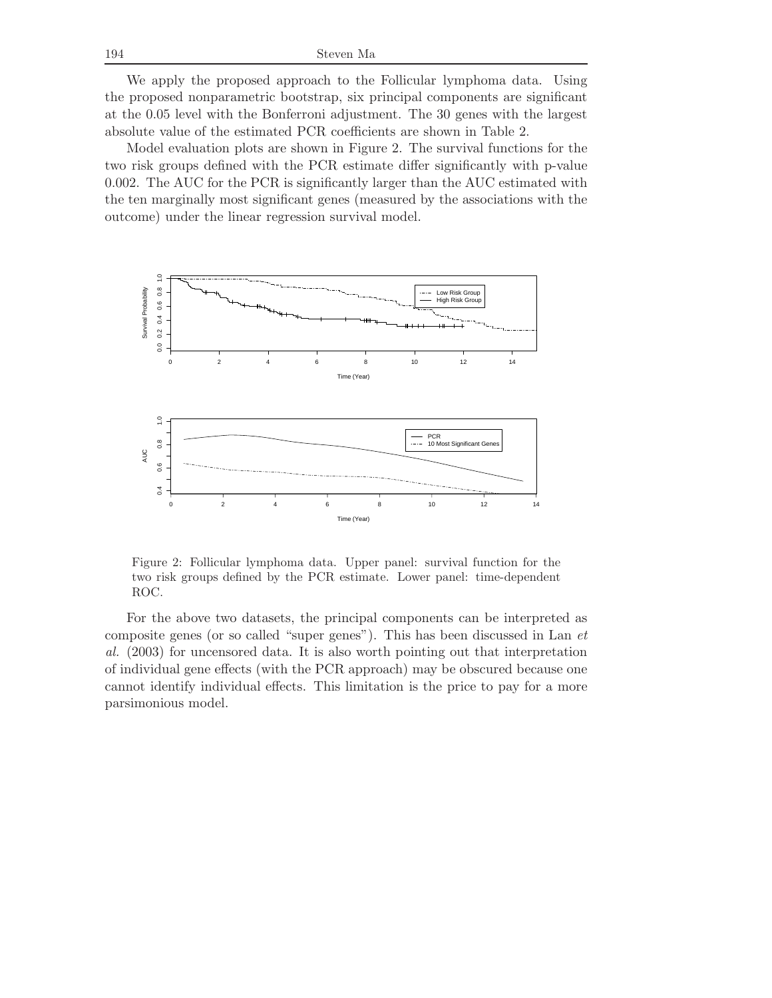We apply the proposed approach to the Follicular lymphoma data. Using the proposed nonparametric bootstrap, six principal components are significant at the 0.05 level with the Bonferroni adjustment. The 30 genes with the largest absolute value of the estimated PCR coefficients are shown in Table 2.

Model evaluation plots are shown in Figure 2. The survival functions for the two risk groups defined with the PCR estimate differ significantly with p-value 0.002. The AUC for the PCR is significantly larger than the AUC estimated with the ten marginally most significant genes (measured by the associations with the outcome) under the linear regression survival model.



Figure 2: Follicular lymphoma data. Upper panel: survival function for the two risk groups defined by the PCR estimate. Lower panel: time-dependent ROC.

For the above two datasets, the principal components can be interpreted as composite genes (or so called "super genes"). This has been discussed in Lan *et al.* (2003) for uncensored data. It is also worth pointing out that interpretation of individual gene effects (with the PCR approach) may be obscured because one cannot identify individual effects. This limitation is the price to pay for a more parsimonious model.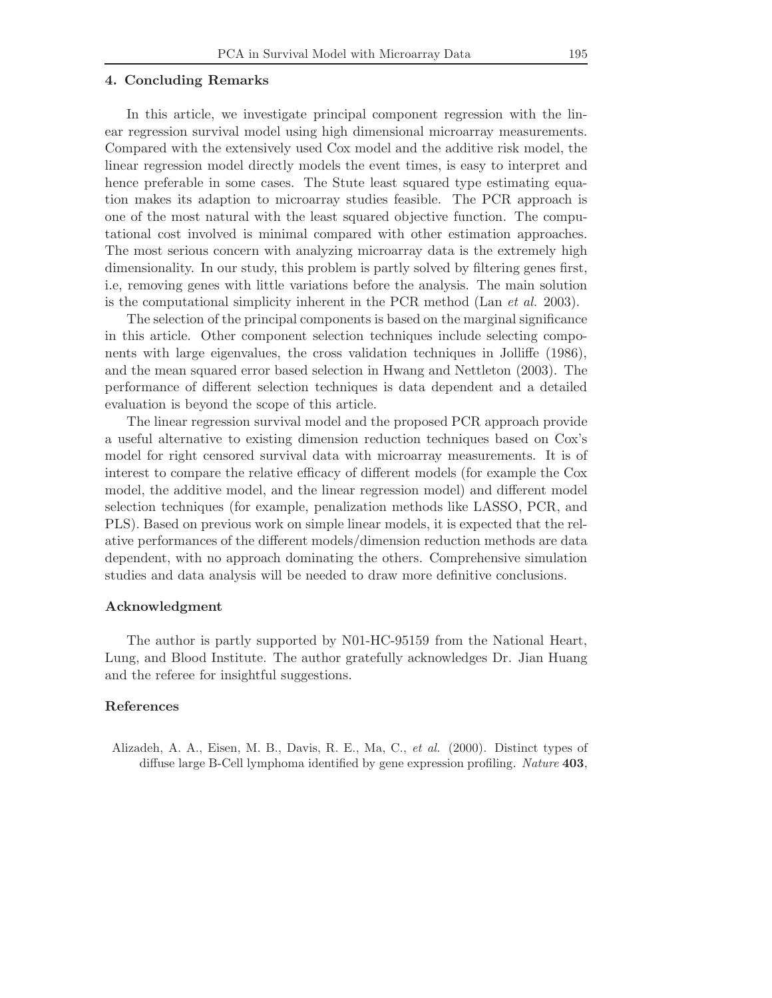### **4. Concluding Remarks**

In this article, we investigate principal component regression with the linear regression survival model using high dimensional microarray measurements. Compared with the extensively used Cox model and the additive risk model, the linear regression model directly models the event times, is easy to interpret and hence preferable in some cases. The Stute least squared type estimating equation makes its adaption to microarray studies feasible. The PCR approach is one of the most natural with the least squared objective function. The computational cost involved is minimal compared with other estimation approaches. The most serious concern with analyzing microarray data is the extremely high dimensionality. In our study, this problem is partly solved by filtering genes first, i.e, removing genes with little variations before the analysis. The main solution is the computational simplicity inherent in the PCR method (Lan *et al.* 2003).

The selection of the principal components is based on the marginal significance in this article. Other component selection techniques include selecting components with large eigenvalues, the cross validation techniques in Jolliffe (1986), and the mean squared error based selection in Hwang and Nettleton (2003). The performance of different selection techniques is data dependent and a detailed evaluation is beyond the scope of this article.

The linear regression survival model and the proposed PCR approach provide a useful alternative to existing dimension reduction techniques based on Cox's model for right censored survival data with microarray measurements. It is of interest to compare the relative efficacy of different models (for example the Cox model, the additive model, and the linear regression model) and different model selection techniques (for example, penalization methods like LASSO, PCR, and PLS). Based on previous work on simple linear models, it is expected that the relative performances of the different models/dimension reduction methods are data dependent, with no approach dominating the others. Comprehensive simulation studies and data analysis will be needed to draw more definitive conclusions.

#### **Acknowledgment**

The author is partly supported by N01-HC-95159 from the National Heart, Lung, and Blood Institute. The author gratefully acknowledges Dr. Jian Huang and the referee for insightful suggestions.

## **References**

Alizadeh, A. A., Eisen, M. B., Davis, R. E., Ma, C., *et al.* (2000). Distinct types of diffuse large B-Cell lymphoma identified by gene expression profiling. *Nature* **403**,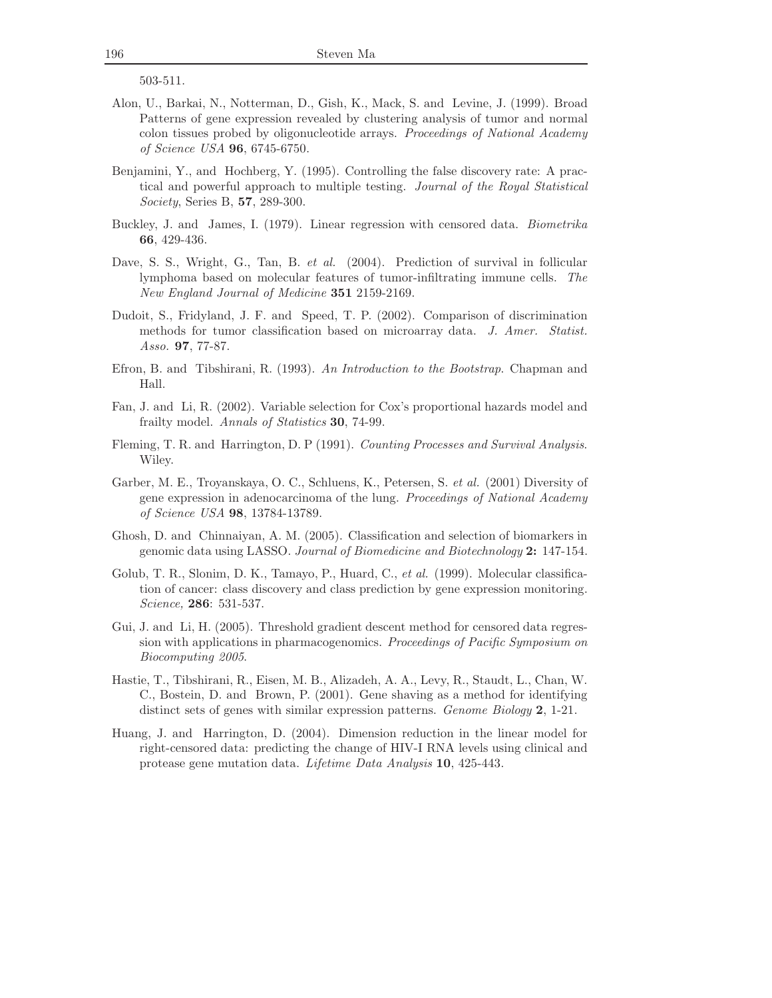503-511.

- Alon, U., Barkai, N., Notterman, D., Gish, K., Mack, S. and Levine, J. (1999). Broad Patterns of gene expression revealed by clustering analysis of tumor and normal colon tissues probed by oligonucleotide arrays. *Proceedings of National Academy of Science USA* **96**, 6745-6750.
- Benjamini, Y., and Hochberg, Y. (1995). Controlling the false discovery rate: A practical and powerful approach to multiple testing. *Journal of the Royal Statistical Society*, Series B, **57**, 289-300.
- Buckley, J. and James, I. (1979). Linear regression with censored data. *Biometrika* **66**, 429-436.
- Dave, S. S., Wright, G., Tan, B. *et al.* (2004). Prediction of survival in follicular lymphoma based on molecular features of tumor-infiltrating immune cells. *The New England Journal of Medicine* **351** 2159-2169.
- Dudoit, S., Fridyland, J. F. and Speed, T. P. (2002). Comparison of discrimination methods for tumor classification based on microarray data. *J. Amer. Statist. Asso.* **97**, 77-87.
- Efron, B. and Tibshirani, R. (1993). *An Introduction to the Bootstrap*. Chapman and Hall.
- Fan, J. and Li, R. (2002). Variable selection for Cox's proportional hazards model and frailty model. *Annals of Statistics* **30**, 74-99.
- Fleming, T. R. and Harrington, D. P (1991). *Counting Processes and Survival Analysis*. Wiley.
- Garber, M. E., Troyanskaya, O. C., Schluens, K., Petersen, S. *et al.* (2001) Diversity of gene expression in adenocarcinoma of the lung. *Proceedings of National Academy of Science USA* **98**, 13784-13789.
- Ghosh, D. and Chinnaiyan, A. M. (2005). Classification and selection of biomarkers in genomic data using LASSO. *Journal of Biomedicine and Biotechnology* **2:** 147-154.
- Golub, T. R., Slonim, D. K., Tamayo, P., Huard, C., *et al.* (1999). Molecular classification of cancer: class discovery and class prediction by gene expression monitoring. *Science,* **286**: 531-537.
- Gui, J. and Li, H. (2005). Threshold gradient descent method for censored data regression with applications in pharmacogenomics. *Proceedings of Pacific Symposium on Biocomputing 2005*.
- Hastie, T., Tibshirani, R., Eisen, M. B., Alizadeh, A. A., Levy, R., Staudt, L., Chan, W. C., Bostein, D. and Brown, P. (2001). Gene shaving as a method for identifying distinct sets of genes with similar expression patterns. *Genome Biology* **2**, 1-21.
- Huang, J. and Harrington, D. (2004). Dimension reduction in the linear model for right-censored data: predicting the change of HIV-I RNA levels using clinical and protease gene mutation data. *Lifetime Data Analysis* **10**, 425-443.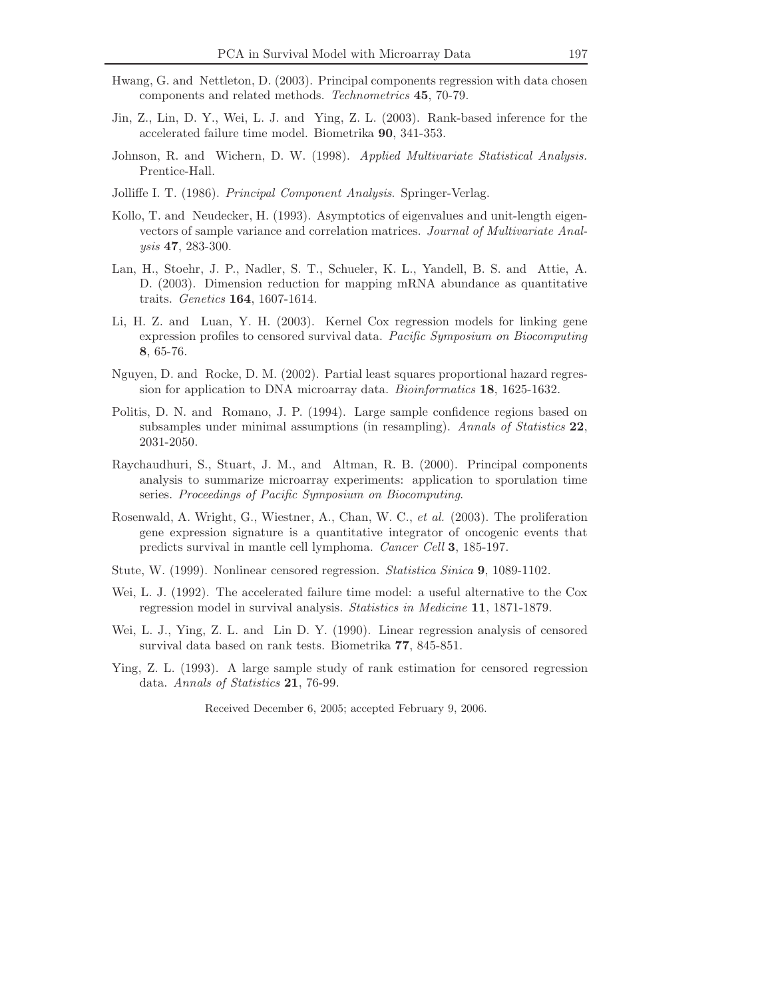- Hwang, G. and Nettleton, D. (2003). Principal components regression with data chosen components and related methods. *Technometrics* **45**, 70-79.
- Jin, Z., Lin, D. Y., Wei, L. J. and Ying, Z. L. (2003). Rank-based inference for the accelerated failure time model. Biometrika **90**, 341-353.
- Johnson, R. and Wichern, D. W. (1998). *Applied Multivariate Statistical Analysis.* Prentice-Hall.
- Jolliffe I. T. (1986). *Principal Component Analysis*. Springer-Verlag.
- Kollo, T. and Neudecker, H. (1993). Asymptotics of eigenvalues and unit-length eigenvectors of sample variance and correlation matrices. *Journal of Multivariate Analysis* **47**, 283-300.
- Lan, H., Stoehr, J. P., Nadler, S. T., Schueler, K. L., Yandell, B. S. and Attie, A. D. (2003). Dimension reduction for mapping mRNA abundance as quantitative traits. *Genetics* **164**, 1607-1614.
- Li, H. Z. and Luan, Y. H. (2003). Kernel Cox regression models for linking gene expression profiles to censored survival data. *Pacific Symposium on Biocomputing* **8**, 65-76.
- Nguyen, D. and Rocke, D. M. (2002). Partial least squares proportional hazard regression for application to DNA microarray data. *Bioinformatics* **18**, 1625-1632.
- Politis, D. N. and Romano, J. P. (1994). Large sample confidence regions based on subsamples under minimal assumptions (in resampling). *Annals of Statistics* **22**, 2031-2050.
- Raychaudhuri, S., Stuart, J. M., and Altman, R. B. (2000). Principal components analysis to summarize microarray experiments: application to sporulation time series. *Proceedings of Pacific Symposium on Biocomputing*.
- Rosenwald, A. Wright, G., Wiestner, A., Chan, W. C., *et al.* (2003). The proliferation gene expression signature is a quantitative integrator of oncogenic events that predicts survival in mantle cell lymphoma. *Cancer Cell* **3**, 185-197.
- Stute, W. (1999). Nonlinear censored regression. *Statistica Sinica* **9**, 1089-1102.
- Wei, L. J. (1992). The accelerated failure time model: a useful alternative to the Cox regression model in survival analysis. *Statistics in Medicine* **11**, 1871-1879.
- Wei, L. J., Ying, Z. L. and Lin D. Y. (1990). Linear regression analysis of censored survival data based on rank tests. Biometrika **77**, 845-851.
- Ying, Z. L. (1993). A large sample study of rank estimation for censored regression data. *Annals of Statistics* **21**, 76-99.

Received December 6, 2005; accepted February 9, 2006.